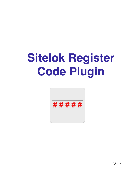# **Sitelok Register Code Plugin**



V1.7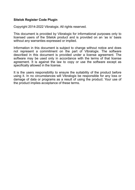#### **Sitelok Register Code Plugin**

Copyright 2014-2022 Vibralogix. All rights reserved.

This document is provided by Vibralogix for informational purposes only to licensed users of the Sitelok product and is provided on an 'as is' basis without any warranties expressed or implied.

Information in this document is subject to change without notice and does not represent a commitment on the part of Vibralogix. The software described in this document is provided under a license agreement. The software may be used only in accordance with the terms of that license agreement. It is against the law to copy or use the software except as specifically allowed in the license.

It is the users responsibility to ensure the suitability of the product before using it. In no circumstances will Vibralogix be responsible for any loss or damage of data or programs as a result of using the product. Your use of the product implies acceptance of these terms.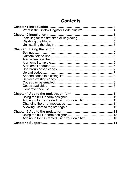# **Contents**

| Adding to forms created using your own html 11 |  |
|------------------------------------------------|--|
|                                                |  |
|                                                |  |
|                                                |  |
|                                                |  |
|                                                |  |
|                                                |  |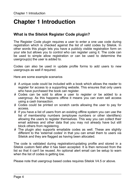# <span id="page-3-0"></span>**Chapter 1 Introduction**

# <span id="page-3-1"></span>**What is the Sitelok Register Code plugin?**

The Register Code plugin requires a user to enter a one use code during registration which is checked against the list of valid codes by Sitelok. In other words this plugin lets you have a publicly visible registration form on your site but allows you to control who can register using it. The code can be used to simple allow registration or can be used to determine the usergroup(s) the user is added to.

Codes can also be used in update profile forms to add users to new usergroups as well if required.

Here are some example scenarios

- A unique code could be included with a book which allows the reader to register for access to a supporting website. This ensures that only users who have purchased the book can register.
- Codes can be sold to allow a user to register or be added to a usergroup. As this happens offline it means you can even sell access using a cash transaction.
- Codes could be printed on scratch cards allowing the user to pay for access.
- If you have a list of users from an existing offline system you can use the list of membership numbers (employee numbers or other identifiers) allowing the users to register themselves. This way you can collect their email address and other data that you may not already have but still block others from registering.
- $\blacktriangleright$  The plugin also supports emailable codes as well. These are slightly different to the 'external codes' in that you can email them to users via Sitelok and they are flagged as having been allocated.

The code is validated during registration/updating profile and stored in a Sitelok custom field after it has been accepted. It is then removed from the list so that it can't be reused. An optional alert email can be setup to warn when the list of codes is getting low.

Please note that usergroup based codes requires Sitelok V4.5 or above.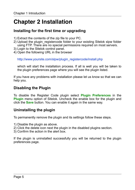# <span id="page-4-0"></span>**Chapter 2 Installation**

## <span id="page-4-1"></span>**Installing for the first time or upgrading**

- 1) Extract the contents of the zip file to your PC.
- 2) Upload the plugin registercode folder to your existing Sitelok slpw folder using FTP. There are no special permissions required on most servers.
- 3) Login to the Sitelok control panel.
- 4) Open the following URL in the browser

http://www.yoursite.com/slpw/plugin\_registercode/install.php

which will start the installation process. If all is well you will be taken to the plugin preferences page where you will see the plugin listed.

If you have any problems with installation please let us know so that we can help you.

# <span id="page-4-2"></span>**Disabling the Plugin**

To disable the Register Code plugin select **Plugin Preferences** in the **Plugin** menu option of Sitelok. Uncheck the enable box for the plugin and click the **Save** button. You can enable it again in the same way.

# <span id="page-4-3"></span>**Uninstalling the plugin**

To permanently remove the plugin and its settings follow these steps.

- 1) Disable the plugin as above.
- 2) Click the delete icon next the plugin in the disabled plugins section.
- 3) Confirm the action in the alert box.

If the plugin is uninstalled successfully you will be returned to the plugin preferences page.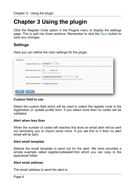# <span id="page-5-0"></span>**Chapter 3 Using the plugin**

Click the Register Code option in the Plugins menu to display the settings page. This is split into three sections. Remember to click the Save button to save any changes.

# <span id="page-5-1"></span>**Settings**

Here you can define the main settings for the plugin.

| ÷<br>The custom field that will collect the code from the registration form. Selecting None will disable code checking<br>Alert when less than<br>codes left<br>20 |  |
|--------------------------------------------------------------------------------------------------------------------------------------------------------------------|--|
|                                                                                                                                                                    |  |
|                                                                                                                                                                    |  |
| Set to 0 to disable alert email                                                                                                                                    |  |
| $\frac{\Delta}{\nabla}$<br>registercodesalert.htm<br>Alert email template                                                                                          |  |
| Email template to send when minimum codes left limit is reached                                                                                                    |  |
| Alert email address<br>you@yoursite.com                                                                                                                            |  |

#### <span id="page-5-2"></span>**Custom field to use**

Select the custom field which will be used to collect the register code in the registration or update profile form. If you select none then no codes will be validated.

#### <span id="page-5-3"></span>**Alert when less than**

When the number of codes left reaches this level an email alert will be sent out reminding you to import some more. If you set this to 0 then no alert email will be sent.

#### <span id="page-5-4"></span>**Alert email template**

Selects the email template to send out for the alert. We have provided a simple example called registercodesalert.htm which you can copy to the slpw/email folder.

#### <span id="page-5-5"></span>**Alert email address**

The email address to send the alert to.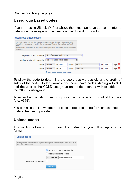# <span id="page-6-0"></span>**Usergroup based codes**

If you are using Sitelok V4.5 or above then you can have the code entered determine the usergroup the user is added to and for how long.

| Usergroup based codes                                                                                                                                                                                                                                                           |                                                                                                       |  |  |  |  |  |
|---------------------------------------------------------------------------------------------------------------------------------------------------------------------------------------------------------------------------------------------------------------------------------|-------------------------------------------------------------------------------------------------------|--|--|--|--|--|
|                                                                                                                                                                                                                                                                                 |                                                                                                       |  |  |  |  |  |
| Normally codes will add the user to the usergroup(s) defined in the registration<br>form. However you can override the usergroups(s) using the prefix or suffix of<br>codes.<br>You can also use codes to add users to usergroups in an update profile form too if<br>vou wish. |                                                                                                       |  |  |  |  |  |
|                                                                                                                                                                                                                                                                                 |                                                                                                       |  |  |  |  |  |
| Registration with no code                                                                                                                                                                                                                                                       | No - Require valid code<br>÷                                                                          |  |  |  |  |  |
| Update profile with no code                                                                                                                                                                                                                                                     | No - Require valid code<br>÷                                                                          |  |  |  |  |  |
| When                                                                                                                                                                                                                                                                            | prefix $\div$ is<br>$\div$<br>001<br>add to GOLD<br>365<br>days X<br>for                              |  |  |  |  |  |
| When                                                                                                                                                                                                                                                                            | <b>SILVER</b><br>$\div$<br>days $\mathbf{\mathcal{E}}$<br>prefix < 1<br>365<br>add to<br>is pr<br>for |  |  |  |  |  |
|                                                                                                                                                                                                                                                                                 | add code based usergroup                                                                              |  |  |  |  |  |

To allow the code to determine the usergroup we use either the prefix of suffix of the code. So for example you could have codes starting with 001 add the user to the GOLD usergroup and codes starting with pr added to the SILVER usergroup.

To extend and existing user group use the + character in front of the days (e.g. +365).

You can also decide whether the code is required in the form or just used to update the user if provided.

# <span id="page-6-1"></span>**Upload codes**

This section allows you to upload the codes that you will accept in your forms.

| Upload codes                |                                                                                     |
|-----------------------------|-------------------------------------------------------------------------------------|
|                             | Here you can upload codes to append to or replace the existing list. Each code must |
| on a line in the text file. |                                                                                     |
|                             | Append codes to existing list                                                       |
|                             | $\circ$ Replace existing codes                                                      |
|                             | Choose file No file chosen                                                          |
| Codes can be emailed        |                                                                                     |
|                             | <b>Upload</b>                                                                       |
|                             |                                                                                     |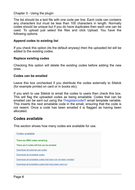#### Chapter 3 - Using the plugin

The list should be a text file with one code per line. Each code can contains any characters but must be less than 100 characters in length. Normally codes should be unique but if you do have duplicates then each one can be used. To upload just select the files and click Upload. You have the following options.

#### <span id="page-7-0"></span>**Append codes to existing list**

If you check this option (its the default anyway) then the uploaded list will be added to the existing codes.

#### <span id="page-7-1"></span>**Replace existing codes**

Checking this option will delete the existing codes before adding the new ones.

#### <span id="page-7-2"></span>**Codes can be emailed**

Leave this box unchecked if you distribute the codes externally to Sitelok (for example printed on card or in books etc).

If you wish to use Sitelok to email the codes to users then check this box. This will flag the uploaded codes as being emailable. Codes that can be emailed can be sent out using the **!!!**registercode!!! email template variable. This inserts the next emailable code in the email, ensuring that the code is not resent. Once a code has been emailed it is flagged as having been allocated.

## <span id="page-7-3"></span>**Codes available**

This section shows how many codes are available for use.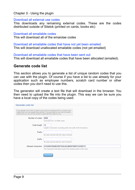Chapter 3 - Using the plugin

#### Download all external use codes

This downloads any remaining external codes. These are the codes distributed outside of Sitelok (printed on cards, books etc)

#### Download all emailable codes

This will download all of the emaiolae codes

Download all emailable codes that have not yet been emailed This will download unallocated emailable codes (not yet emailed)

Download all emailable codes that have been sent out This will download all emailable codes that have been allocated (emailed).

## <span id="page-8-0"></span>**Generate code list**

This section allows you to generate a list of unique random codes that you can use with the plugin. Of course if you have a list to use already for your application such as employee numbers, scratch card number or other codes then you don't need to use this.

The generator will create a text file that will download in the browser. You then need to upload the file into the plugin. This way we can be sure you have a local copy of the codes being used.

| Generate code list                                                                                                                                                                                                                             |                    |                                                                                       |
|------------------------------------------------------------------------------------------------------------------------------------------------------------------------------------------------------------------------------------------------|--------------------|---------------------------------------------------------------------------------------|
|                                                                                                                                                                                                                                                |                    |                                                                                       |
| If you already have a list of codes to use (such as employee ID's or scratch card<br>codes) then you can upload those directly. If you just want to use a list of random<br>codes then you can use this section to generate the codes for you. |                    |                                                                                       |
|                                                                                                                                                                                                                                                | Number of codes    | 9999<br>Generate from 1 to 9999 codes                                                 |
|                                                                                                                                                                                                                                                | Code length        | 12<br>Length in characters excluding prefix and suffix (5-99 characters)              |
|                                                                                                                                                                                                                                                | Prefix             | All codes will start with this value if entered                                       |
|                                                                                                                                                                                                                                                | Suffix             | All codes will end with this value if entered                                         |
|                                                                                                                                                                                                                                                | Allowed characters | 0123456789ABCDEFGHIJKLMNOPQRSTUVWXYZ                                                  |
|                                                                                                                                                                                                                                                |                    | The characters that will be used in the random portion of the code<br><b>Download</b> |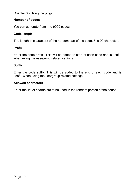#### **Number of codes**

You can generate from 1 to 9999 codes

#### **Code length**

The length in characters of the random part of the code. 5 to 99 characters.

#### **Prefix**

Enter the code prefix. This will be added to start of each code and is useful when using the usergroup related settings.

#### **Suffix**

Enter the code suffix. This will be added to the end of each code and is useful when using the usergroup related settings.

#### **Allowed characters**

Enter the list of characters to be used in the random portion of the codes.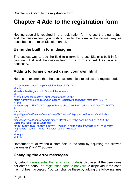# <span id="page-10-0"></span>**Chapter 4 Add to the registration form**

Nothing special is required in the registration form to use the plugin. Just add the custom field you wish to use to the form in the normal way as described in the main Sitelok manual.

# <span id="page-10-1"></span>**Using the built in form designer**

The easiest way to add the field to a form is to use Sitelok's built in form designer. Just add the custom field to the form and set it as required if necessary.

# <span id="page-10-2"></span>**Adding to forms created using your own html**

Here is an example that the uses custom1 field to collect the register code.

```
<?php require_once("../slpw/sitelokregister.php"); ?>
<html> 
<head><title>Register with Code</title></head>
<body> 
<?php if ($registermsg!="") print $registermsg; ?><br> 
<form name="sitelokregisteruser" action="registerwithcode.php" method="POST"> 
<?php 
registeruser("CLIENT","90","registerthanks.php","user.htm","admin.htm","Yes","YNYYY"); 
2Name<br> 
<input type="text" name="name" size="30" value="<?php echo $name; ?"><br><br> 
Email<br> 
<input type="text" name="email" size="30" value="<?php echo $email; ?>"><br><br> 
Enter the registration code<br>
<input type="text" name="custom1" value="<?php echo $custom1; ?>"><br><br> 
<input type="submit" name="Register" value="Register"> 
</form> 
</body> 
</html>
```
Remember to 'allow' the custom field in the form by adjusting the allowed parameter (YNYYY above).

## <span id="page-10-3"></span>**Changing the error messages**

By default Please enter the registration code is displayed if the user does not enter a code The registration code is not valid is displayed if the code has not been accepted. You can change these by adding the following lines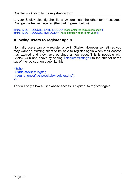to your Sitelok slconfig.php file anywhere near the other text messages. Change the text as required (the part in green below).

```
define("MSG_REGCODE_ENTERCODE","Please enter the registration code");
define("MSG_REGCODE_NOTVALID","The registration code is not valid");
```
## <span id="page-11-0"></span>**Allowing users to register again**

Normally users can only register once in Sitelok. However sometimes you may want an existing client to be able to register again when their access has expired and they have obtained a new code. This is possible with Sitelok V4.0 and above by adding \$sldeleteexisting=1 to the snippet at the top of the registration page like this

```
<?php 
  $sldeleteexisting=1; 
 require_once("../slpw/sitelokregister.php");
?>
```
This will only allow a user whose access is expired to register again.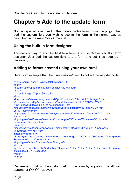# <span id="page-12-0"></span>**Chapter 5 Add to the update form**

Nothing special is required in the update profile form to use the plugin. Just add the custom field you wish to use to the form in the normal way as described in the main Sitelok manual.

# <span id="page-12-1"></span>**Using the built in form designer**

The easiest way to add the field to a form is to use Sitelok's built in form designer. Just add the custom field to the form and set it as required if necessary.

# <span id="page-12-2"></span>**Adding to forms created using your own html**

Here is an example that the uses custom1 field to collect the register code.

```
<?php require_once("../slpw/sitelokpw.php"): ?>
<html> 
<head><title>Update registration details</title></head>
<br />
shody<br />
shody<br />
small<br />
small<br />
small<br />
small<br />
small<br />
small<br />
small<br />
small<br />
small<br />
small<br />
small<br />
small<br />
small<br />
small<br />
small<br />
small<br />
<?php if ($msg!="") print $msg; ?> 
<hr>
<form name="sitelokmodify" method="post" action="<?php print $thispage; ?>"> 
<?php sitelokmodify("updateuser.htm","updateuseradmin.htm","","NYYYY"); ?> 
New Password (leave blank to not change it) <br> 
<input type="password" name="newpassword" maxlength="50" size="30"><br> 
Verify Password<br> 
<input type="password" name="verifynewpassword" maxlength="50" size="30"><br> 
Name<br> 
<input type="text" name="newname" maxlength="50" size="30" value="<?php echo 
$newname; ?>"><br><br> 
Email<br> 
<input type="text" name="newemail" maxlength="50" size="30" value="<?php echo 
$newemail; ?>"><br><br> 
Enter the code<br> 
<input type="text" name="newcustom1" maxlength="250" size="30" value="<?php echo 
$newcustom1; ?>"><br><br> 
<input type="submit" value="Save Changes"> 
</form> 
<p><a href="members.php">Members Home</a>>
8nbsp:&nbsp:&nbsp:<a href="<?php</a>
siteloklogout()?>">Logout</a> 
</body> 
</html>
```
Remember to 'allow' the custom field in the form by adjusting the allowed parameter (YNYYY above).